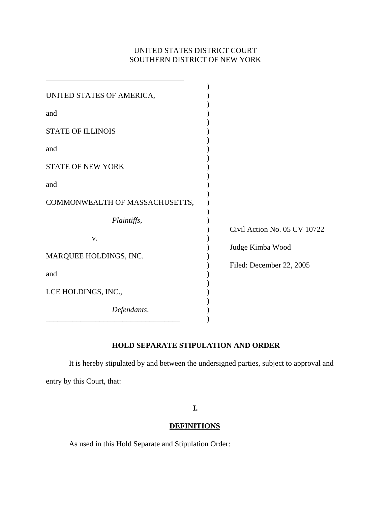# UNITED STATES DISTRICT COURT SOUTHERN DISTRICT OF NEW YORK

| UNITED STATES OF AMERICA,      |                              |
|--------------------------------|------------------------------|
| and                            |                              |
| <b>STATE OF ILLINOIS</b>       |                              |
| and                            |                              |
| <b>STATE OF NEW YORK</b>       |                              |
| and                            |                              |
| COMMONWEALTH OF MASSACHUSETTS, |                              |
| Plaintiffs,                    | Civil Action No. 05 CV 10722 |
| V.                             |                              |
| MARQUEE HOLDINGS, INC.         | Judge Kimba Wood             |
| and                            | Filed: December 22, 2005     |
| LCE HOLDINGS, INC.,            |                              |
| Defendants.                    |                              |

# **HOLD SEPARATE STIPULATION AND ORDER**

It is hereby stipulated by and between the undersigned parties, subject to approval and entry by this Court, that:

**I.**

## **DEFINITIONS**

As used in this Hold Separate and Stipulation Order: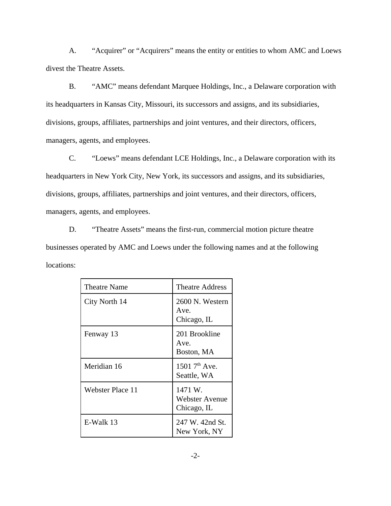A. "Acquirer" or "Acquirers" means the entity or entities to whom AMC and Loews divest the Theatre Assets.

B. "AMC" means defendant Marquee Holdings, Inc., a Delaware corporation with its headquarters in Kansas City, Missouri, its successors and assigns, and its subsidiaries, divisions, groups, affiliates, partnerships and joint ventures, and their directors, officers, managers, agents, and employees.

C. "Loews" means defendant LCE Holdings, Inc., a Delaware corporation with its headquarters in New York City, New York, its successors and assigns, and its subsidiaries, divisions, groups, affiliates, partnerships and joint ventures, and their directors, officers, managers, agents, and employees.

D. "Theatre Assets" means the first-run, commercial motion picture theatre businesses operated by AMC and Loews under the following names and at the following locations:

| Theatre Name            | <b>Theatre Address</b>                   |
|-------------------------|------------------------------------------|
| City North 14           | 2600 N. Western<br>Ave.<br>Chicago, IL   |
| Fenway 13               | 201 Brookline<br>Ave.<br>Boston, MA      |
| Meridian 16             | 1501 7 <sup>th</sup> Ave.<br>Seattle, WA |
| <b>Webster Place 11</b> | 1471 W.<br>Webster Avenue<br>Chicago, IL |
| E-Walk 13               | 247 W. 42nd St.<br>New York, NY          |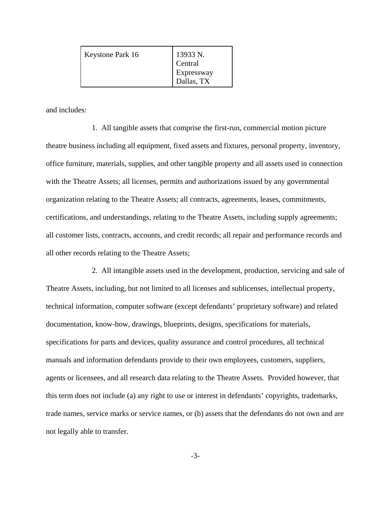| Keystone Park 16 | 13933 N.<br>Central      |
|------------------|--------------------------|
|                  | Expressway<br>Dallas, TX |

and includes:

1. All tangible assets that comprise the first-run, commercial motion picture theatre business including all equipment, fixed assets and fixtures, personal property, inventory, office furniture, materials, supplies, and other tangible property and all assets used in connection with the Theatre Assets; all licenses, permits and authorizations issued by any governmental organization relating to the Theatre Assets; all contracts, agreements, leases, commitments, certifications, and understandings, relating to the Theatre Assets, including supply agreements; all customer lists, contracts, accounts, and credit records; all repair and performance records and all other records relating to the Theatre Assets;

2. All intangible assets used in the development, production, servicing and sale of Theatre Assets, including, but not limited to all licenses and sublicenses, intellectual property, technical information, computer software (except defendants' proprietary software) and related documentation, know-how, drawings, blueprints, designs, specifications for materials, specifications for parts and devices, quality assurance and control procedures, all technical manuals and information defendants provide to their own employees, customers, suppliers, agents or licensees, and all research data relating to the Theatre Assets. Provided however, that this term does not include (a) any right to use or interest in defendants' copyrights, trademarks, trade names, service marks or service names, or (b) assets that the defendants do not own and are not legally able to transfer.

-3-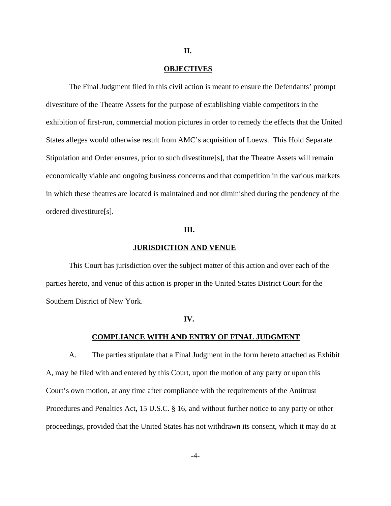#### **OBJECTIVES**

**II.**

The Final Judgment filed in this civil action is meant to ensure the Defendants' prompt divestiture of the Theatre Assets for the purpose of establishing viable competitors in the exhibition of first-run, commercial motion pictures in order to remedy the effects that the United States alleges would otherwise result from AMC's acquisition of Loews. This Hold Separate Stipulation and Order ensures, prior to such divestiture[s], that the Theatre Assets will remain economically viable and ongoing business concerns and that competition in the various markets in which these theatres are located is maintained and not diminished during the pendency of the ordered divestiture[s].

### **III.**

#### **JURISDICTION AND VENUE**

This Court has jurisdiction over the subject matter of this action and over each of the parties hereto, and venue of this action is proper in the United States District Court for the Southern District of New York.

#### **IV.**

### **COMPLIANCE WITH AND ENTRY OF FINAL JUDGMENT**

A. The parties stipulate that a Final Judgment in the form hereto attached as Exhibit A, may be filed with and entered by this Court, upon the motion of any party or upon this Court's own motion, at any time after compliance with the requirements of the Antitrust Procedures and Penalties Act, 15 U.S.C. § 16, and without further notice to any party or other proceedings, provided that the United States has not withdrawn its consent, which it may do at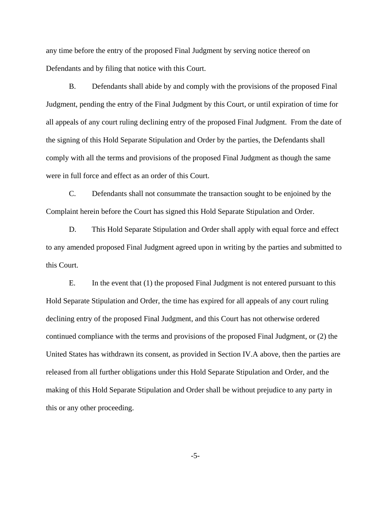any time before the entry of the proposed Final Judgment by serving notice thereof on Defendants and by filing that notice with this Court.

B. Defendants shall abide by and comply with the provisions of the proposed Final Judgment, pending the entry of the Final Judgment by this Court, or until expiration of time for all appeals of any court ruling declining entry of the proposed Final Judgment. From the date of the signing of this Hold Separate Stipulation and Order by the parties, the Defendants shall comply with all the terms and provisions of the proposed Final Judgment as though the same were in full force and effect as an order of this Court.

C. Defendants shall not consummate the transaction sought to be enjoined by the Complaint herein before the Court has signed this Hold Separate Stipulation and Order.

D. This Hold Separate Stipulation and Order shall apply with equal force and effect to any amended proposed Final Judgment agreed upon in writing by the parties and submitted to this Court.

E. In the event that (1) the proposed Final Judgment is not entered pursuant to this Hold Separate Stipulation and Order, the time has expired for all appeals of any court ruling declining entry of the proposed Final Judgment, and this Court has not otherwise ordered continued compliance with the terms and provisions of the proposed Final Judgment, or (2) the United States has withdrawn its consent, as provided in Section IV.A above, then the parties are released from all further obligations under this Hold Separate Stipulation and Order, and the making of this Hold Separate Stipulation and Order shall be without prejudice to any party in this or any other proceeding.

-5-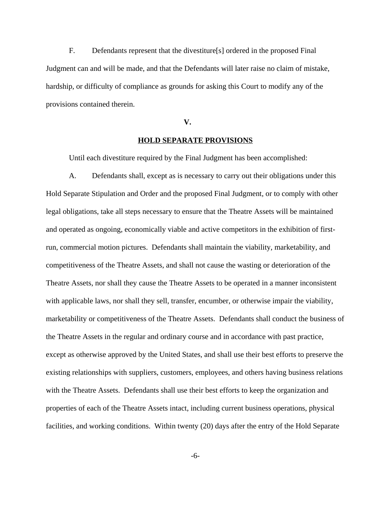F. Defendants represent that the divestiture[s] ordered in the proposed Final Judgment can and will be made, and that the Defendants will later raise no claim of mistake, hardship, or difficulty of compliance as grounds for asking this Court to modify any of the provisions contained therein.

#### **V.**

### **HOLD SEPARATE PROVISIONS**

Until each divestiture required by the Final Judgment has been accomplished:

A. Defendants shall, except as is necessary to carry out their obligations under this Hold Separate Stipulation and Order and the proposed Final Judgment, or to comply with other legal obligations, take all steps necessary to ensure that the Theatre Assets will be maintained and operated as ongoing, economically viable and active competitors in the exhibition of firstrun, commercial motion pictures. Defendants shall maintain the viability, marketability, and competitiveness of the Theatre Assets, and shall not cause the wasting or deterioration of the Theatre Assets, nor shall they cause the Theatre Assets to be operated in a manner inconsistent with applicable laws, nor shall they sell, transfer, encumber, or otherwise impair the viability, marketability or competitiveness of the Theatre Assets. Defendants shall conduct the business of the Theatre Assets in the regular and ordinary course and in accordance with past practice, except as otherwise approved by the United States, and shall use their best efforts to preserve the existing relationships with suppliers, customers, employees, and others having business relations with the Theatre Assets. Defendants shall use their best efforts to keep the organization and properties of each of the Theatre Assets intact, including current business operations, physical facilities, and working conditions. Within twenty (20) days after the entry of the Hold Separate

-6-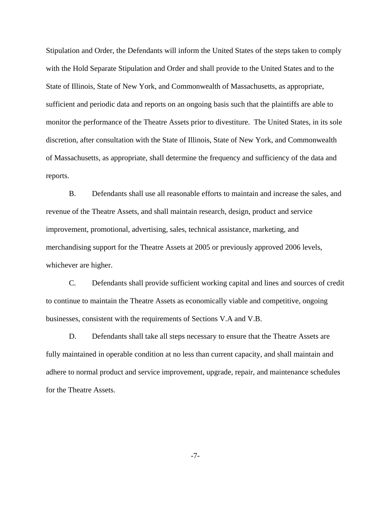Stipulation and Order, the Defendants will inform the United States of the steps taken to comply with the Hold Separate Stipulation and Order and shall provide to the United States and to the State of Illinois, State of New York, and Commonwealth of Massachusetts, as appropriate, sufficient and periodic data and reports on an ongoing basis such that the plaintiffs are able to monitor the performance of the Theatre Assets prior to divestiture. The United States, in its sole discretion, after consultation with the State of Illinois, State of New York, and Commonwealth of Massachusetts, as appropriate, shall determine the frequency and sufficiency of the data and reports.

B. Defendants shall use all reasonable efforts to maintain and increase the sales, and revenue of the Theatre Assets, and shall maintain research, design, product and service improvement, promotional, advertising, sales, technical assistance, marketing, and merchandising support for the Theatre Assets at 2005 or previously approved 2006 levels, whichever are higher.

C. Defendants shall provide sufficient working capital and lines and sources of credit to continue to maintain the Theatre Assets as economically viable and competitive, ongoing businesses, consistent with the requirements of Sections V.A and V.B.

D. Defendants shall take all steps necessary to ensure that the Theatre Assets are fully maintained in operable condition at no less than current capacity, and shall maintain and adhere to normal product and service improvement, upgrade, repair, and maintenance schedules for the Theatre Assets.

-7-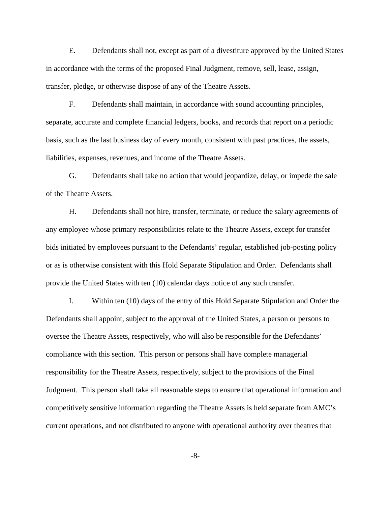E. Defendants shall not, except as part of a divestiture approved by the United States in accordance with the terms of the proposed Final Judgment, remove, sell, lease, assign, transfer, pledge, or otherwise dispose of any of the Theatre Assets.

F. Defendants shall maintain, in accordance with sound accounting principles, separate, accurate and complete financial ledgers, books, and records that report on a periodic basis, such as the last business day of every month, consistent with past practices, the assets, liabilities, expenses, revenues, and income of the Theatre Assets.

G. Defendants shall take no action that would jeopardize, delay, or impede the sale of the Theatre Assets.

H. Defendants shall not hire, transfer, terminate, or reduce the salary agreements of any employee whose primary responsibilities relate to the Theatre Assets, except for transfer bids initiated by employees pursuant to the Defendants' regular, established job-posting policy or as is otherwise consistent with this Hold Separate Stipulation and Order. Defendants shall provide the United States with ten (10) calendar days notice of any such transfer.

I. Within ten (10) days of the entry of this Hold Separate Stipulation and Order the Defendants shall appoint, subject to the approval of the United States, a person or persons to oversee the Theatre Assets, respectively, who will also be responsible for the Defendants' compliance with this section. This person or persons shall have complete managerial responsibility for the Theatre Assets, respectively, subject to the provisions of the Final Judgment. This person shall take all reasonable steps to ensure that operational information and competitively sensitive information regarding the Theatre Assets is held separate from AMC's current operations, and not distributed to anyone with operational authority over theatres that

-8-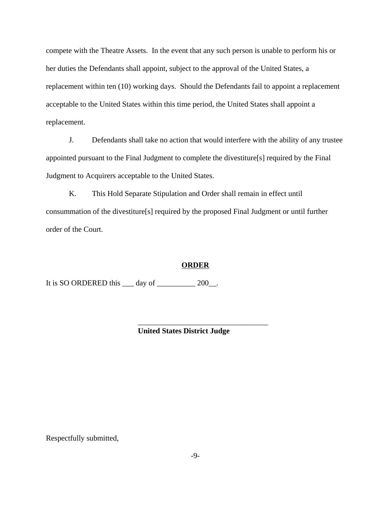compete with the Theatre Assets. In the event that any such person is unable to perform his or her duties the Defendants shall appoint, subject to the approval of the United States, a replacement within ten (10) working days. Should the Defendants fail to appoint a replacement acceptable to the United States within this time period, the United States shall appoint a replacement.

J. Defendants shall take no action that would interfere with the ability of any trustee appointed pursuant to the Final Judgment to complete the divestiture[s] required by the Final Judgment to Acquirers acceptable to the United States.

K. This Hold Separate Stipulation and Order shall remain in effect until consummation of the divestiture[s] required by the proposed Final Judgment or until further order of the Court.

### **ORDER**

It is SO ORDERED this <u>quare day of  $\frac{200}{\ldots}$ </u>.

**United States District Judge**

\_\_\_\_\_\_\_\_\_\_\_\_\_\_\_\_\_\_\_\_\_\_\_\_\_\_\_\_\_\_\_\_\_\_

Respectfully submitted,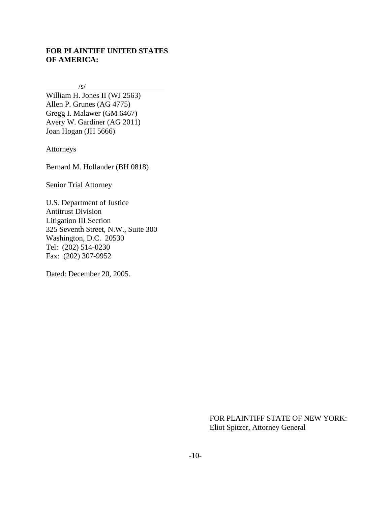## **FOR PLAINTIFF UNITED STATES OF AMERICA:**

 $\sqrt{s/}$ 

William H. Jones II (WJ 2563) Allen P. Grunes (AG 4775) Gregg I. Malawer (GM 6467) Avery W. Gardiner (AG 2011) Joan Hogan (JH 5666)

Attorneys

Bernard M. Hollander (BH 0818)

Senior Trial Attorney

U.S. Department of Justice Antitrust Division Litigation III Section 325 Seventh Street, N.W., Suite 300 Washington, D.C. 20530 Tel: (202) 514-0230 Fax: (202) 307-9952

Dated: December 20, 2005.

FOR PLAINTIFF STATE OF NEW YORK: Eliot Spitzer, Attorney General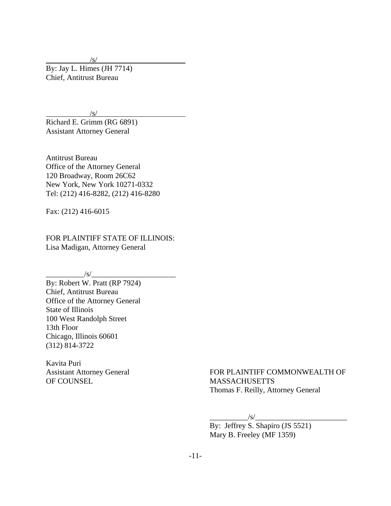$/s/$ 

By: Jay L. Himes (JH 7714) Chief, Antitrust Bureau

 $/s/$ 

Richard E. Grimm (RG 6891) Assistant Attorney General

Antitrust Bureau Office of the Attorney General 120 Broadway, Room 26C62 New York, New York 10271-0332 Tel: (212) 416-8282, (212) 416-8280

Fax: (212) 416-6015

FOR PLAINTIFF STATE OF ILLINOIS: Lisa Madigan, Attorney General

 $\sqrt{s/2}$ 

By: Robert W. Pratt (RP 7924) Chief, Antitrust Bureau Office of the Attorney General State of Illinois 100 West Randolph Street 13th Floor Chicago, Illinois 60601 (312) 814-3722

Kavita Puri Assistant Attorney General OF COUNSEL

FOR PLAINTIFF COMMONWEALTH OF MASSACHUSETTS Thomas F. Reilly, Attorney General

 $\sqrt{s}/$ 

By: Jeffrey S. Shapiro (JS 5521) Mary B. Freeley (MF 1359)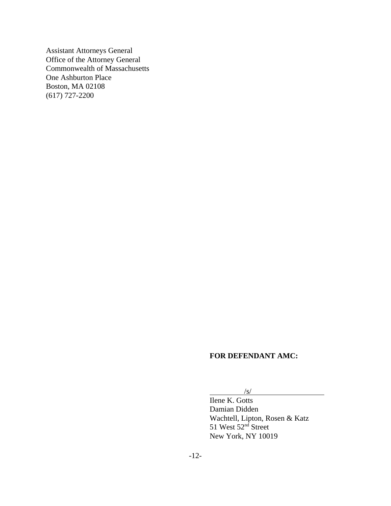Assistant Attorneys General Office of the Attorney General Commonwealth of Massachusetts One Ashburton Place Boston, MA 02108 (617) 727-2200

## **FOR DEFENDANT AMC:**

# /s/

Ilene K. Gotts Damian Didden Wachtell, Lipton, Rosen & Katz 51 West 52<sup>nd</sup> Street New York, NY 10019